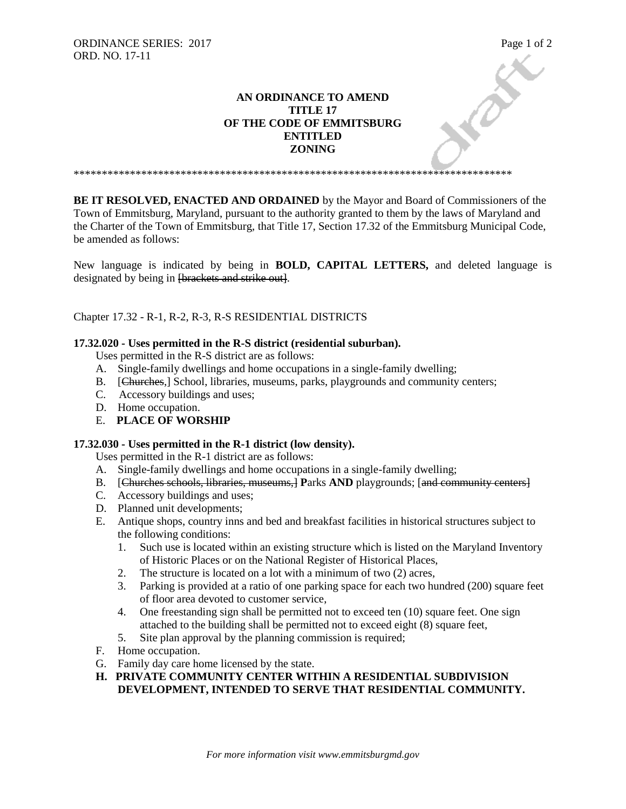## **AN ORDINANCE TO AMEND TITLE 17 OF THE CODE OF EMMITSBURG ENTITLED ZONING**

\*\*\*\*\*\*\*\*\*\*\*\*\*\*\*\*\*\*\*\*\*\*\*\*\*\*\*\*\*\*\*\*\*\*\*\*\*\*\*\*\*\*\*\*\*\*\*\*\*\*\*\*\*\*\*\*\*\*\*\*\*\*\*\*\*\*\*\*\*\*\*\*\*\*\*\*\*\*

**BE IT RESOLVED, ENACTED AND ORDAINED** by the Mayor and Board of Commissioners of the Town of Emmitsburg, Maryland, pursuant to the authority granted to them by the laws of Maryland and the Charter of the Town of Emmitsburg, that Title 17, Section 17.32 of the Emmitsburg Municipal Code, be amended as follows:

New language is indicated by being in **BOLD, CAPITAL LETTERS,** and deleted language is designated by being in <del>[brackets and strike out]</del>.

Chapter 17.32 - R-1, R-2, R-3, R-S RESIDENTIAL DISTRICTS

## **17.32.020 - Uses permitted in the R-S district (residential suburban).**

Uses permitted in the R-S district are as follows:

- A. Single-family dwellings and home occupations in a single-family dwelling;
- B. [Churches,] School, libraries, museums, parks, playgrounds and community centers;
- C. Accessory buildings and uses;
- D. Home occupation.
- E. **PLACE OF WORSHIP**

## **17.32.030 - Uses permitted in the R-1 district (low density).**

Uses permitted in the R-1 district are as follows:

- A. Single-family dwellings and home occupations in a single-family dwelling;
- B. [Churches schools, libraries, museums,] **P**arks **AND** playgrounds; [and community centers]
- C. Accessory buildings and uses;
- D. Planned unit developments;
- E. Antique shops, country inns and bed and breakfast facilities in historical structures subject to the following conditions:
	- 1. Such use is located within an existing structure which is listed on the Maryland Inventory of Historic Places or on the National Register of Historical Places,
	- 2. The structure is located on a lot with a minimum of two (2) acres,
	- 3. Parking is provided at a ratio of one parking space for each two hundred (200) square feet of floor area devoted to customer service,
	- 4. One freestanding sign shall be permitted not to exceed ten (10) square feet. One sign attached to the building shall be permitted not to exceed eight (8) square feet,
	- 5. Site plan approval by the planning commission is required;
- F. Home occupation.
- G. Family day care home licensed by the state.
- **H. PRIVATE COMMUNITY CENTER WITHIN A RESIDENTIAL SUBDIVISION DEVELOPMENT, INTENDED TO SERVE THAT RESIDENTIAL COMMUNITY.**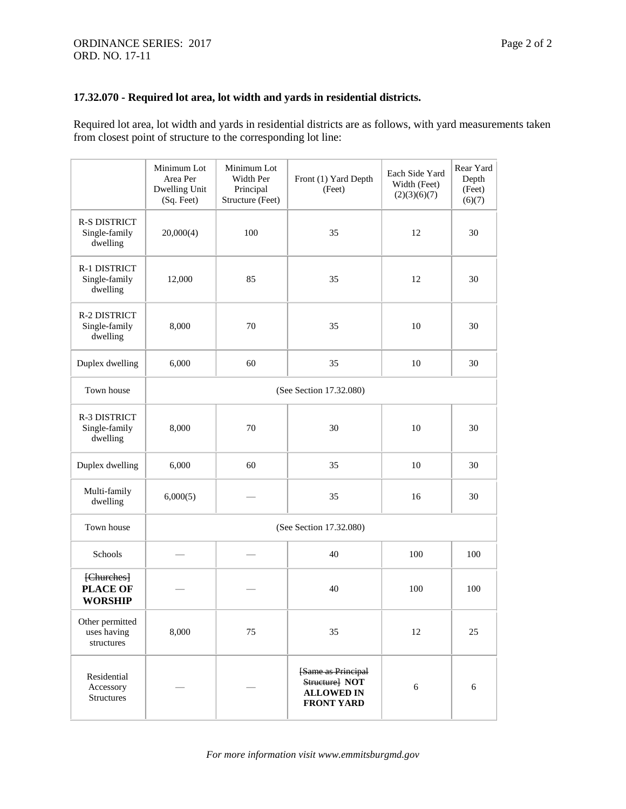## **17.32.070 - Required lot area, lot width and yards in residential districts.**

Required lot area, lot width and yards in residential districts are as follows, with yard measurements taken from closest point of structure to the corresponding lot line:

|                                                  | Minimum Lot<br>Area Per<br>Dwelling Unit<br>(Sq. Feet) | Minimum Lot<br>Width Per<br>Principal<br>Structure (Feet) | Front (1) Yard Depth<br>(Feet)                                                 | Each Side Yard<br>Width (Feet)<br>(2)(3)(6)(7) | Rear Yard<br>Depth<br>(Feet)<br>(6)(7) |
|--------------------------------------------------|--------------------------------------------------------|-----------------------------------------------------------|--------------------------------------------------------------------------------|------------------------------------------------|----------------------------------------|
| <b>R-S DISTRICT</b><br>Single-family<br>dwelling | 20,000(4)                                              | 100                                                       | 35                                                                             | 12                                             | 30                                     |
| R-1 DISTRICT<br>Single-family<br>dwelling        | 12,000                                                 | 85                                                        | 35                                                                             | 12                                             | 30                                     |
| R-2 DISTRICT<br>Single-family<br>dwelling        | 8,000                                                  | 70                                                        | 35                                                                             | 10                                             | 30                                     |
| Duplex dwelling                                  | 6,000                                                  | 60                                                        | 35                                                                             | 10                                             | 30                                     |
| Town house                                       | (See Section 17.32.080)                                |                                                           |                                                                                |                                                |                                        |
| <b>R-3 DISTRICT</b><br>Single-family<br>dwelling | 8,000                                                  | 70                                                        | 30                                                                             | 10                                             | 30                                     |
| Duplex dwelling                                  | 6,000                                                  | 60                                                        | 35                                                                             | 10                                             | 30                                     |
| Multi-family<br>dwelling                         | 6,000(5)                                               |                                                           | 35                                                                             | 16                                             | 30                                     |
| Town house                                       | (See Section 17.32.080)                                |                                                           |                                                                                |                                                |                                        |
| Schools                                          |                                                        |                                                           | 40                                                                             | 100                                            | 100                                    |
| [Churches]<br><b>PLACE OF</b><br><b>WORSHIP</b>  |                                                        |                                                           | 40                                                                             | 100                                            | 100                                    |
| Other permitted<br>uses having<br>structures     | 8,000                                                  | 75                                                        | 35                                                                             | 12                                             | 25                                     |
| Residential<br>Accessory<br><b>Structures</b>    |                                                        |                                                           | [Same as Principal<br>Structure] NOT<br><b>ALLOWED IN</b><br><b>FRONT YARD</b> | 6                                              | 6                                      |